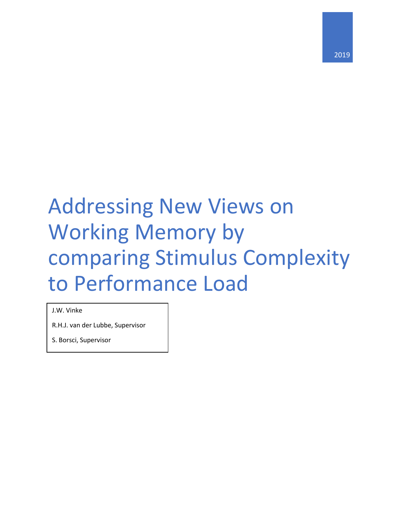# Addressing New Views on Working Memory by comparing Stimulus Complexity to Performance Load

J.W. Vinke

R.H.J. van der Lubbe, Supervisor

S. Borsci, Supervisor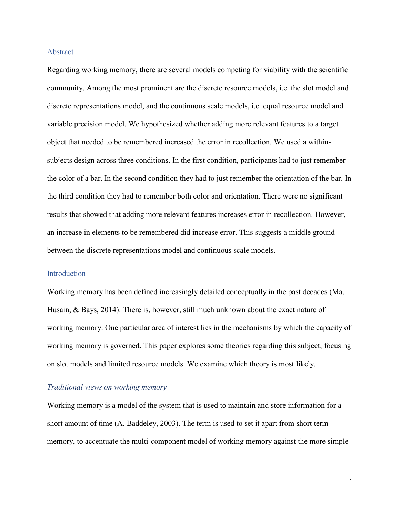## Abstract

Regarding working memory, there are several models competing for viability with the scientific community. Among the most prominent are the discrete resource models, i.e. the slot model and discrete representations model, and the continuous scale models, i.e. equal resource model and variable precision model. We hypothesized whether adding more relevant features to a target object that needed to be remembered increased the error in recollection. We used a withinsubjects design across three conditions. In the first condition, participants had to just remember the color of a bar. In the second condition they had to just remember the orientation of the bar. In the third condition they had to remember both color and orientation. There were no significant results that showed that adding more relevant features increases error in recollection. However, an increase in elements to be remembered did increase error. This suggests a middle ground between the discrete representations model and continuous scale models.

# Introduction

Working memory has been defined increasingly detailed conceptually in the past decades (Ma, Husain, & Bays, 2014). There is, however, still much unknown about the exact nature of working memory. One particular area of interest lies in the mechanisms by which the capacity of working memory is governed. This paper explores some theories regarding this subject; focusing on slot models and limited resource models. We examine which theory is most likely.

# *Traditional views on working memory*

Working memory is a model of the system that is used to maintain and store information for a short amount of time (A. Baddeley, 2003). The term is used to set it apart from short term memory, to accentuate the multi-component model of working memory against the more simple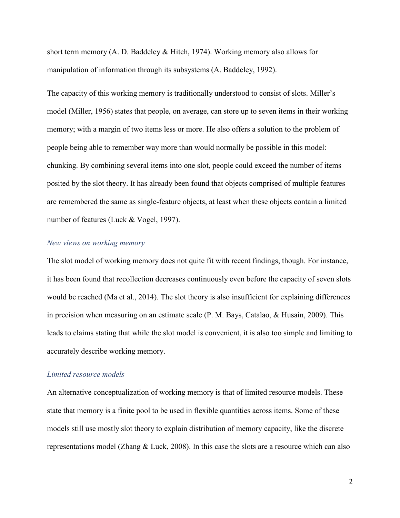short term memory (A. D. Baddeley & Hitch, 1974). Working memory also allows for manipulation of information through its subsystems (A. Baddeley, 1992).

The capacity of this working memory is traditionally understood to consist of slots. Miller's model (Miller, 1956) states that people, on average, can store up to seven items in their working memory; with a margin of two items less or more. He also offers a solution to the problem of people being able to remember way more than would normally be possible in this model: chunking. By combining several items into one slot, people could exceed the number of items posited by the slot theory. It has already been found that objects comprised of multiple features are remembered the same as single-feature objects, at least when these objects contain a limited number of features (Luck & Vogel, 1997).

## *New views on working memory*

The slot model of working memory does not quite fit with recent findings, though. For instance, it has been found that recollection decreases continuously even before the capacity of seven slots would be reached (Ma et al., 2014). The slot theory is also insufficient for explaining differences in precision when measuring on an estimate scale (P. M. Bays, Catalao, & Husain, 2009). This leads to claims stating that while the slot model is convenient, it is also too simple and limiting to accurately describe working memory.

## *Limited resource models*

An alternative conceptualization of working memory is that of limited resource models. These state that memory is a finite pool to be used in flexible quantities across items. Some of these models still use mostly slot theory to explain distribution of memory capacity, like the discrete representations model (Zhang & Luck, 2008). In this case the slots are a resource which can also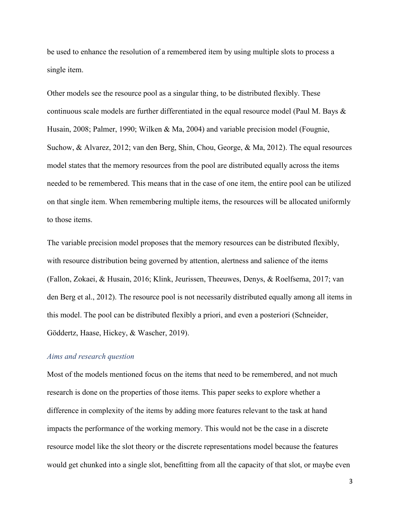be used to enhance the resolution of a remembered item by using multiple slots to process a single item.

Other models see the resource pool as a singular thing, to be distributed flexibly. These continuous scale models are further differentiated in the equal resource model (Paul M. Bays & Husain, 2008; Palmer, 1990; Wilken & Ma, 2004) and variable precision model (Fougnie, Suchow, & Alvarez, 2012; van den Berg, Shin, Chou, George, & Ma, 2012). The equal resources model states that the memory resources from the pool are distributed equally across the items needed to be remembered. This means that in the case of one item, the entire pool can be utilized on that single item. When remembering multiple items, the resources will be allocated uniformly to those items.

The variable precision model proposes that the memory resources can be distributed flexibly, with resource distribution being governed by attention, alertness and salience of the items (Fallon, Zokaei, & Husain, 2016; Klink, Jeurissen, Theeuwes, Denys, & Roelfsema, 2017; van den Berg et al., 2012). The resource pool is not necessarily distributed equally among all items in this model. The pool can be distributed flexibly a priori, and even a posteriori (Schneider, Göddertz, Haase, Hickey, & Wascher, 2019).

# *Aims and research question*

Most of the models mentioned focus on the items that need to be remembered, and not much research is done on the properties of those items. This paper seeks to explore whether a difference in complexity of the items by adding more features relevant to the task at hand impacts the performance of the working memory. This would not be the case in a discrete resource model like the slot theory or the discrete representations model because the features would get chunked into a single slot, benefitting from all the capacity of that slot, or maybe even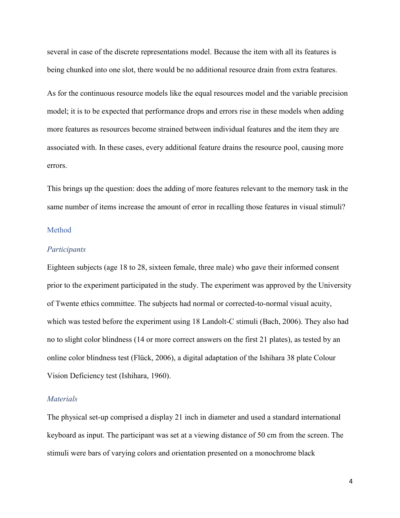several in case of the discrete representations model. Because the item with all its features is being chunked into one slot, there would be no additional resource drain from extra features.

As for the continuous resource models like the equal resources model and the variable precision model; it is to be expected that performance drops and errors rise in these models when adding more features as resources become strained between individual features and the item they are associated with. In these cases, every additional feature drains the resource pool, causing more errors.

This brings up the question: does the adding of more features relevant to the memory task in the same number of items increase the amount of error in recalling those features in visual stimuli?

## Method

# *Participants*

Eighteen subjects (age 18 to 28, sixteen female, three male) who gave their informed consent prior to the experiment participated in the study. The experiment was approved by the University of Twente ethics committee. The subjects had normal or corrected-to-normal visual acuity, which was tested before the experiment using 18 Landolt-C stimuli (Bach, 2006). They also had no to slight color blindness (14 or more correct answers on the first 21 plates), as tested by an online color blindness test (Flück, 2006), a digital adaptation of the Ishihara 38 plate Colour Vision Deficiency test (Ishihara, 1960).

#### *Materials*

The physical set-up comprised a display 21 inch in diameter and used a standard international keyboard as input. The participant was set at a viewing distance of 50 cm from the screen. The stimuli were bars of varying colors and orientation presented on a monochrome black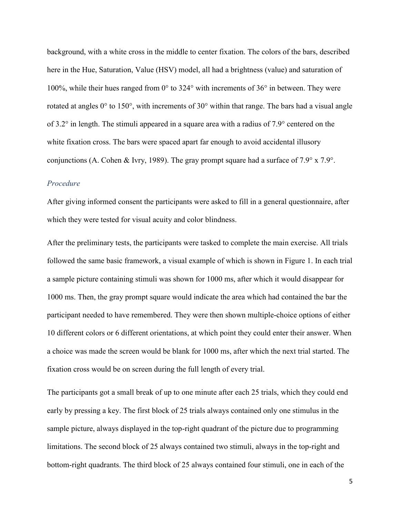background, with a white cross in the middle to center fixation. The colors of the bars, described here in the Hue, Saturation, Value (HSV) model, all had a brightness (value) and saturation of 100%, while their hues ranged from 0° to 324° with increments of 36° in between. They were rotated at angles 0° to 150°, with increments of 30° within that range. The bars had a visual angle of 3.2° in length. The stimuli appeared in a square area with a radius of 7.9° centered on the white fixation cross. The bars were spaced apart far enough to avoid accidental illusory conjunctions (A. Cohen & Ivry, 1989). The gray prompt square had a surface of 7.9° x 7.9°.

# *Procedure*

After giving informed consent the participants were asked to fill in a general questionnaire, after which they were tested for visual acuity and color blindness.

After the preliminary tests, the participants were tasked to complete the main exercise. All trials followed the same basic framework, a visual example of which is shown in Figure 1. In each trial a sample picture containing stimuli was shown for 1000 ms, after which it would disappear for 1000 ms. Then, the gray prompt square would indicate the area which had contained the bar the participant needed to have remembered. They were then shown multiple-choice options of either 10 different colors or 6 different orientations, at which point they could enter their answer. When a choice was made the screen would be blank for 1000 ms, after which the next trial started. The fixation cross would be on screen during the full length of every trial.

The participants got a small break of up to one minute after each 25 trials, which they could end early by pressing a key. The first block of 25 trials always contained only one stimulus in the sample picture, always displayed in the top-right quadrant of the picture due to programming limitations. The second block of 25 always contained two stimuli, always in the top-right and bottom-right quadrants. The third block of 25 always contained four stimuli, one in each of the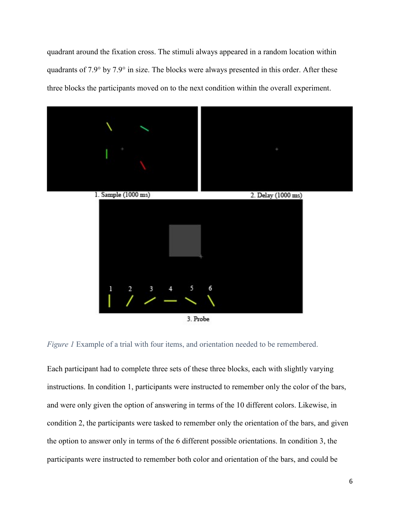quadrant around the fixation cross. The stimuli always appeared in a random location within quadrants of 7.9° by 7.9° in size. The blocks were always presented in this order. After these three blocks the participants moved on to the next condition within the overall experiment.



*Figure 1* Example of a trial with four items, and orientation needed to be remembered.

Each participant had to complete three sets of these three blocks, each with slightly varying instructions. In condition 1, participants were instructed to remember only the color of the bars, and were only given the option of answering in terms of the 10 different colors. Likewise, in condition 2, the participants were tasked to remember only the orientation of the bars, and given the option to answer only in terms of the 6 different possible orientations. In condition 3, the participants were instructed to remember both color and orientation of the bars, and could be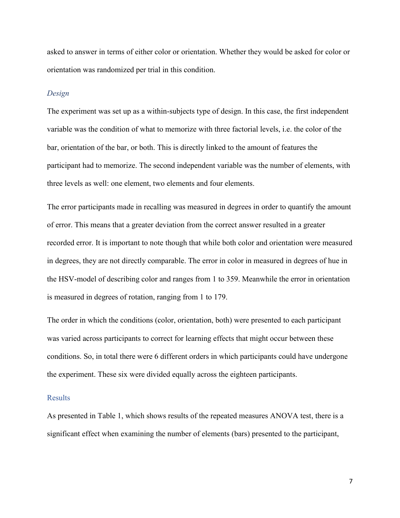asked to answer in terms of either color or orientation. Whether they would be asked for color or orientation was randomized per trial in this condition.

#### *Design*

The experiment was set up as a within-subjects type of design. In this case, the first independent variable was the condition of what to memorize with three factorial levels, i.e. the color of the bar, orientation of the bar, or both. This is directly linked to the amount of features the participant had to memorize. The second independent variable was the number of elements, with three levels as well: one element, two elements and four elements.

The error participants made in recalling was measured in degrees in order to quantify the amount of error. This means that a greater deviation from the correct answer resulted in a greater recorded error. It is important to note though that while both color and orientation were measured in degrees, they are not directly comparable. The error in color in measured in degrees of hue in the HSV-model of describing color and ranges from 1 to 359. Meanwhile the error in orientation is measured in degrees of rotation, ranging from 1 to 179.

The order in which the conditions (color, orientation, both) were presented to each participant was varied across participants to correct for learning effects that might occur between these conditions. So, in total there were 6 different orders in which participants could have undergone the experiment. These six were divided equally across the eighteen participants.

#### Results

As presented in Table 1, which shows results of the repeated measures ANOVA test, there is a significant effect when examining the number of elements (bars) presented to the participant,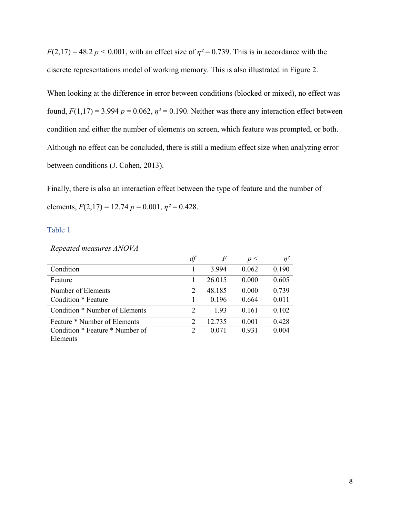$F(2,17) = 48.2 p < 0.001$ , with an effect size of  $\eta^2 = 0.739$ . This is in accordance with the discrete representations model of working memory. This is also illustrated in Figure 2.

When looking at the difference in error between conditions (blocked or mixed), no effect was found,  $F(1,17) = 3.994$   $p = 0.062$ ,  $\eta^2 = 0.190$ . Neither was there any interaction effect between condition and either the number of elements on screen, which feature was prompted, or both. Although no effect can be concluded, there is still a medium effect size when analyzing error between conditions (J. Cohen, 2013).

Finally, there is also an interaction effect between the type of feature and the number of elements,  $F(2,17) = 12.74$   $p = 0.001$ ,  $p^2 = 0.428$ .

## Table 1

## *Repeated measures ANOVA*

|                                 | df             | F      | p<    | $\eta^2$ |
|---------------------------------|----------------|--------|-------|----------|
| Condition                       |                | 3.994  | 0.062 | 0.190    |
| Feature                         |                | 26.015 | 0.000 | 0.605    |
| Number of Elements              | $\overline{2}$ | 48.185 | 0.000 | 0.739    |
| Condition * Feature             |                | 0.196  | 0.664 | 0.011    |
| Condition * Number of Elements  | $\mathfrak{D}$ | 1.93   | 0.161 | 0.102    |
| Feature * Number of Elements    | $\mathcal{D}$  | 12.735 | 0.001 | 0.428    |
| Condition * Feature * Number of | 2              | 0.071  | 0.931 | 0.004    |
| Elements                        |                |        |       |          |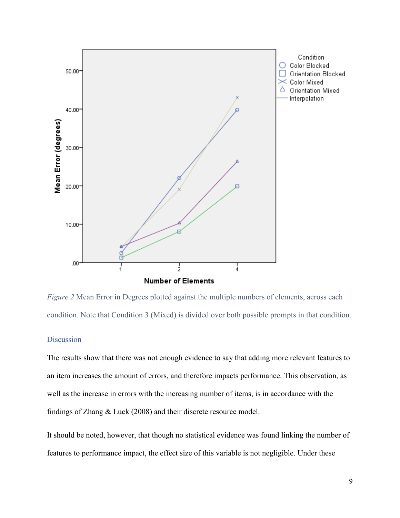

*Figure 2* Mean Error in Degrees plotted against the multiple numbers of elements, across each condition. Note that Condition 3 (Mixed) is divided over both possible prompts in that condition.

# **Discussion**

The results show that there was not enough evidence to say that adding more relevant features to an item increases the amount of errors, and therefore impacts performance. This observation, as well as the increase in errors with the increasing number of items, is in accordance with the findings of Zhang & Luck (2008) and their discrete resource model.

It should be noted, however, that though no statistical evidence was found linking the number of features to performance impact, the effect size of this variable is not negligible. Under these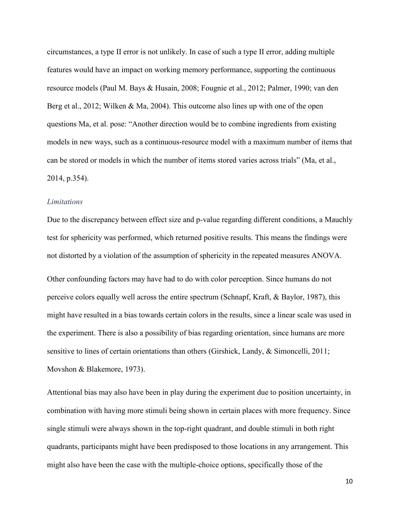circumstances, a type II error is not unlikely. In case of such a type II error, adding multiple features would have an impact on working memory performance, supporting the continuous resource models (Paul M. Bays & Husain, 2008; Fougnie et al., 2012; Palmer, 1990; van den Berg et al., 2012; Wilken & Ma, 2004). This outcome also lines up with one of the open questions Ma, et al. pose: "Another direction would be to combine ingredients from existing models in new ways, such as a continuous-resource model with a maximum number of items that can be stored or models in which the number of items stored varies across trials" (Ma, et al., 2014, p.354).

# *Limitations*

Due to the discrepancy between effect size and p-value regarding different conditions, a Mauchly test for sphericity was performed, which returned positive results. This means the findings were not distorted by a violation of the assumption of sphericity in the repeated measures ANOVA. Other confounding factors may have had to do with color perception. Since humans do not perceive colors equally well across the entire spectrum (Schnapf, Kraft, & Baylor, 1987), this might have resulted in a bias towards certain colors in the results, since a linear scale was used in the experiment. There is also a possibility of bias regarding orientation, since humans are more sensitive to lines of certain orientations than others (Girshick, Landy, & Simoncelli, 2011; Movshon & Blakemore, 1973).

Attentional bias may also have been in play during the experiment due to position uncertainty, in combination with having more stimuli being shown in certain places with more frequency. Since single stimuli were always shown in the top-right quadrant, and double stimuli in both right quadrants, participants might have been predisposed to those locations in any arrangement. This might also have been the case with the multiple-choice options, specifically those of the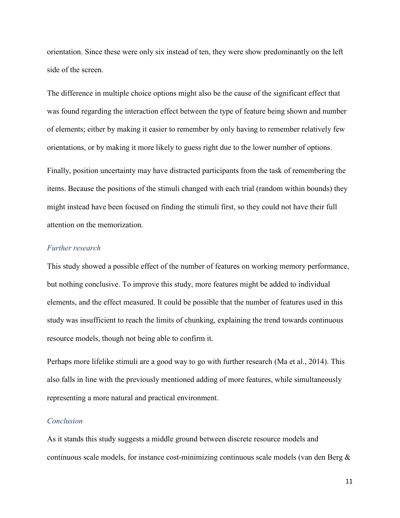orientation. Since these were only six instead of ten, they were show predominantly on the left side of the screen.

The difference in multiple choice options might also be the cause of the significant effect that was found regarding the interaction effect between the type of feature being shown and number of elements; either by making it easier to remember by only having to remember relatively few orientations, or by making it more likely to guess right due to the lower number of options.

Finally, position uncertainty may have distracted participants from the task of remembering the items. Because the positions of the stimuli changed with each trial (random within bounds) they might instead have been focused on finding the stimuli first, so they could not have their full attention on the memorization.

# *Further research*

This study showed a possible effect of the number of features on working memory performance, but nothing conclusive. To improve this study, more features might be added to individual elements, and the effect measured. It could be possible that the number of features used in this study was insufficient to reach the limits of chunking, explaining the trend towards continuous resource models, though not being able to confirm it.

Perhaps more lifelike stimuli are a good way to go with further research (Ma et al., 2014). This also falls in line with the previously mentioned adding of more features, while simultaneously representing a more natural and practical environment.

# *Conclusion*

As it stands this study suggests a middle ground between discrete resource models and continuous scale models, for instance cost-minimizing continuous scale models (van den Berg &

11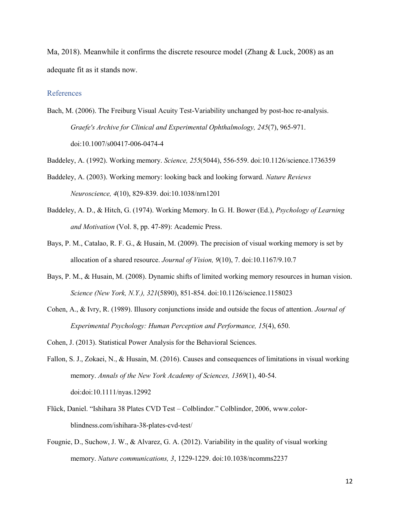Ma, 2018). Meanwhile it confirms the discrete resource model (Zhang & Luck, 2008) as an adequate fit as it stands now.

## References

Bach, M. (2006). The Freiburg Visual Acuity Test-Variability unchanged by post-hoc re-analysis. *Graefe's Archive for Clinical and Experimental Ophthalmology, 245*(7), 965-971. doi:10.1007/s00417-006-0474-4

Baddeley, A. (1992). Working memory. *Science, 255*(5044), 556-559. doi:10.1126/science.1736359

- Baddeley, A. (2003). Working memory: looking back and looking forward. *Nature Reviews Neuroscience, 4*(10), 829-839. doi:10.1038/nrn1201
- Baddeley, A. D., & Hitch, G. (1974). Working Memory. In G. H. Bower (Ed.), *Psychology of Learning and Motivation* (Vol. 8, pp. 47-89): Academic Press.
- Bays, P. M., Catalao, R. F. G., & Husain, M. (2009). The precision of visual working memory is set by allocation of a shared resource. *Journal of Vision, 9*(10), 7. doi:10.1167/9.10.7
- Bays, P. M., & Husain, M. (2008). Dynamic shifts of limited working memory resources in human vision. *Science (New York, N.Y.), 321*(5890), 851-854. doi:10.1126/science.1158023
- Cohen, A., & Ivry, R. (1989). Illusory conjunctions inside and outside the focus of attention. *Journal of Experimental Psychology: Human Perception and Performance, 15*(4), 650.
- Cohen, J. (2013). Statistical Power Analysis for the Behavioral Sciences.
- Fallon, S. J., Zokaei, N., & Husain, M. (2016). Causes and consequences of limitations in visual working memory. *Annals of the New York Academy of Sciences, 1369*(1), 40-54. doi:doi:10.1111/nyas.12992
- Flück, Daniel. "Ishihara 38 Plates CVD Test Colblindor." Colblindor, 2006, www.colorblindness.com/ishihara-38-plates-cvd-test/
- Fougnie, D., Suchow, J. W., & Alvarez, G. A. (2012). Variability in the quality of visual working memory. *Nature communications, 3*, 1229-1229. doi:10.1038/ncomms2237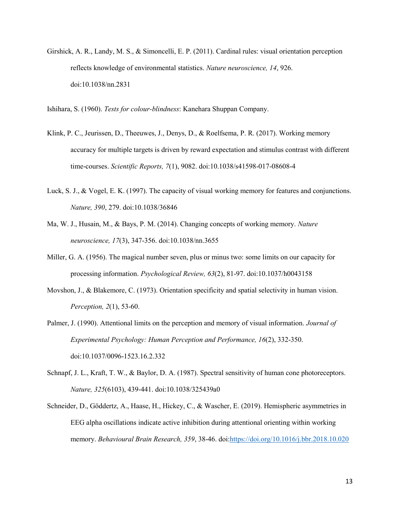- Girshick, A. R., Landy, M. S., & Simoncelli, E. P. (2011). Cardinal rules: visual orientation perception reflects knowledge of environmental statistics. *Nature neuroscience, 14*, 926. doi:10.1038/nn.2831
- Ishihara, S. (1960). *Tests for colour-blindness*: Kanehara Shuppan Company.
- Klink, P. C., Jeurissen, D., Theeuwes, J., Denys, D., & Roelfsema, P. R. (2017). Working memory accuracy for multiple targets is driven by reward expectation and stimulus contrast with different time-courses. *Scientific Reports, 7*(1), 9082. doi:10.1038/s41598-017-08608-4
- Luck, S. J., & Vogel, E. K. (1997). The capacity of visual working memory for features and conjunctions. *Nature, 390*, 279. doi:10.1038/36846
- Ma, W. J., Husain, M., & Bays, P. M. (2014). Changing concepts of working memory. *Nature neuroscience, 17*(3), 347-356. doi:10.1038/nn.3655
- Miller, G. A. (1956). The magical number seven, plus or minus two: some limits on our capacity for processing information. *Psychological Review, 63*(2), 81-97. doi:10.1037/h0043158
- Movshon, J., & Blakemore, C. (1973). Orientation specificity and spatial selectivity in human vision. *Perception, 2*(1), 53-60.
- Palmer, J. (1990). Attentional limits on the perception and memory of visual information. *Journal of Experimental Psychology: Human Perception and Performance, 16*(2), 332-350. doi:10.1037/0096-1523.16.2.332
- Schnapf, J. L., Kraft, T. W., & Baylor, D. A. (1987). Spectral sensitivity of human cone photoreceptors. *Nature, 325*(6103), 439-441. doi:10.1038/325439a0
- Schneider, D., Göddertz, A., Haase, H., Hickey, C., & Wascher, E. (2019). Hemispheric asymmetries in EEG alpha oscillations indicate active inhibition during attentional orienting within working memory. *Behavioural Brain Research, 359*, 38-46. doi[:https://doi.org/10.1016/j.bbr.2018.10.020](https://doi.org/10.1016/j.bbr.2018.10.020)